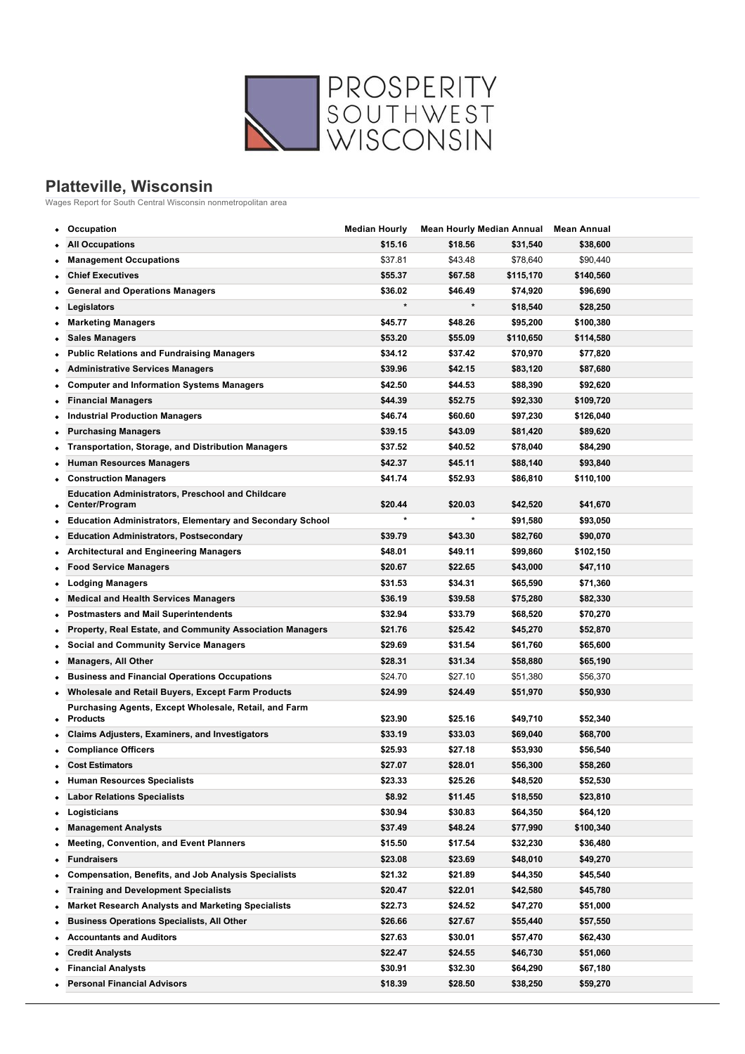

## **Platteville, Wisconsin**

Wages Report for South Central Wisconsin nonmetropolitan area

|   | Occupation                                                                 | <b>Median Hourly</b> |         | <b>Mean Hourly Median Annual</b> | Mean Annual |  |
|---|----------------------------------------------------------------------------|----------------------|---------|----------------------------------|-------------|--|
|   | <b>All Occupations</b>                                                     | \$15.16              | \$18.56 | \$31,540                         | \$38,600    |  |
| ٠ | <b>Management Occupations</b>                                              | \$37.81              | \$43.48 | \$78,640                         | \$90,440    |  |
|   | <b>Chief Executives</b>                                                    | \$55.37              | \$67.58 | \$115,170                        | \$140,560   |  |
|   | <b>General and Operations Managers</b>                                     | \$36.02              | \$46.49 | \$74,920                         | \$96,690    |  |
|   | Legislators                                                                | $\star$              | $\star$ | \$18,540                         | \$28,250    |  |
|   | <b>Marketing Managers</b>                                                  | \$45.77              | \$48.26 | \$95,200                         | \$100,380   |  |
| ٠ | <b>Sales Managers</b>                                                      | \$53.20              | \$55.09 | \$110,650                        | \$114,580   |  |
|   | <b>Public Relations and Fundraising Managers</b>                           | \$34.12              | \$37.42 | \$70,970                         | \$77,820    |  |
|   | <b>Administrative Services Managers</b>                                    | \$39.96              | \$42.15 | \$83,120                         | \$87,680    |  |
| ٠ | <b>Computer and Information Systems Managers</b>                           | \$42.50              | \$44.53 | \$88,390                         | \$92,620    |  |
|   | <b>Financial Managers</b>                                                  | \$44.39              | \$52.75 | \$92,330                         | \$109,720   |  |
|   | <b>Industrial Production Managers</b>                                      | \$46.74              | \$60.60 | \$97,230                         | \$126,040   |  |
| ٠ | <b>Purchasing Managers</b>                                                 | \$39.15              | \$43.09 | \$81,420                         | \$89,620    |  |
|   | <b>Transportation, Storage, and Distribution Managers</b>                  | \$37.52              | \$40.52 | \$78,040                         | \$84,290    |  |
| ٠ | <b>Human Resources Managers</b>                                            | \$42.37              | \$45.11 | \$88,140                         | \$93,840    |  |
| ٠ | <b>Construction Managers</b>                                               | \$41.74              | \$52.93 | \$86,810                         | \$110,100   |  |
| ٠ | <b>Education Administrators, Preschool and Childcare</b><br>Center/Program | \$20.44              | \$20.03 | \$42,520                         | \$41,670    |  |
|   | <b>Education Administrators, Elementary and Secondary School</b>           | $\star$              | $\star$ | \$91,580                         | \$93,050    |  |
|   | <b>Education Administrators, Postsecondary</b>                             | \$39.79              | \$43.30 | \$82,760                         | \$90,070    |  |
| ٠ | <b>Architectural and Engineering Managers</b>                              | \$48.01              | \$49.11 | \$99,860                         | \$102,150   |  |
|   | <b>Food Service Managers</b>                                               | \$20.67              | \$22.65 | \$43,000                         | \$47,110    |  |
| ٠ | <b>Lodging Managers</b>                                                    | \$31.53              | \$34.31 | \$65,590                         | \$71,360    |  |
| ٠ | <b>Medical and Health Services Managers</b>                                | \$36.19              | \$39.58 | \$75,280                         | \$82,330    |  |
| ٠ | <b>Postmasters and Mail Superintendents</b>                                | \$32.94              | \$33.79 | \$68,520                         | \$70,270    |  |
|   | Property, Real Estate, and Community Association Managers                  | \$21.76              | \$25.42 | \$45,270                         | \$52,870    |  |
|   | <b>Social and Community Service Managers</b>                               | \$29.69              | \$31.54 | \$61,760                         | \$65,600    |  |
|   | <b>Managers, All Other</b>                                                 | \$28.31              | \$31.34 | \$58,880                         | \$65,190    |  |
|   | <b>Business and Financial Operations Occupations</b>                       | \$24.70              | \$27.10 | \$51,380                         | \$56,370    |  |
|   | <b>Wholesale and Retail Buyers, Except Farm Products</b>                   | \$24.99              | \$24.49 | \$51,970                         | \$50,930    |  |
| ٠ | Purchasing Agents, Except Wholesale, Retail, and Farm<br><b>Products</b>   | \$23.90              | \$25.16 | \$49,710                         | \$52,340    |  |
|   | <b>Claims Adjusters, Examiners, and Investigators</b>                      | \$33.19              | \$33.03 | \$69,040                         | \$68,700    |  |
|   | <b>Compliance Officers</b>                                                 | \$25.93              | \$27.18 | \$53,930                         | \$56,540    |  |
|   | <b>Cost Estimators</b>                                                     | \$27.07              | \$28.01 | \$56,300                         | \$58,260    |  |
|   | <b>Human Resources Specialists</b>                                         | \$23.33              | \$25.26 | \$48,520                         | \$52,530    |  |
|   | <b>Labor Relations Specialists</b>                                         | \$8.92               | \$11.45 | \$18,550                         | \$23,810    |  |
| ٠ | Logisticians                                                               | \$30.94              | \$30.83 | \$64,350                         | \$64,120    |  |
| ٠ | <b>Management Analysts</b>                                                 | \$37.49              | \$48.24 | \$77,990                         | \$100,340   |  |
|   | <b>Meeting, Convention, and Event Planners</b>                             | \$15.50              | \$17.54 | \$32,230                         | \$36,480    |  |
|   | <b>Fundraisers</b>                                                         | \$23.08              | \$23.69 | \$48,010                         | \$49,270    |  |
| ٠ | <b>Compensation, Benefits, and Job Analysis Specialists</b>                | \$21.32              | \$21.89 | \$44,350                         | \$45,540    |  |
| ٠ | <b>Training and Development Specialists</b>                                | \$20.47              | \$22.01 | \$42,580                         | \$45,780    |  |
| ٠ | <b>Market Research Analysts and Marketing Specialists</b>                  | \$22.73              | \$24.52 | \$47,270                         | \$51,000    |  |
| ٠ | <b>Business Operations Specialists, All Other</b>                          | \$26.66              | \$27.67 | \$55,440                         | \$57,550    |  |
|   | <b>Accountants and Auditors</b>                                            | \$27.63              | \$30.01 | \$57,470                         | \$62,430    |  |
|   | <b>Credit Analysts</b>                                                     | \$22.47              | \$24.55 | \$46,730                         | \$51,060    |  |
|   | <b>Financial Analysts</b>                                                  | \$30.91              | \$32.30 | \$64,290                         | \$67,180    |  |
|   | <b>Personal Financial Advisors</b>                                         | \$18.39              | \$28.50 | \$38,250                         | \$59,270    |  |
|   |                                                                            |                      |         |                                  |             |  |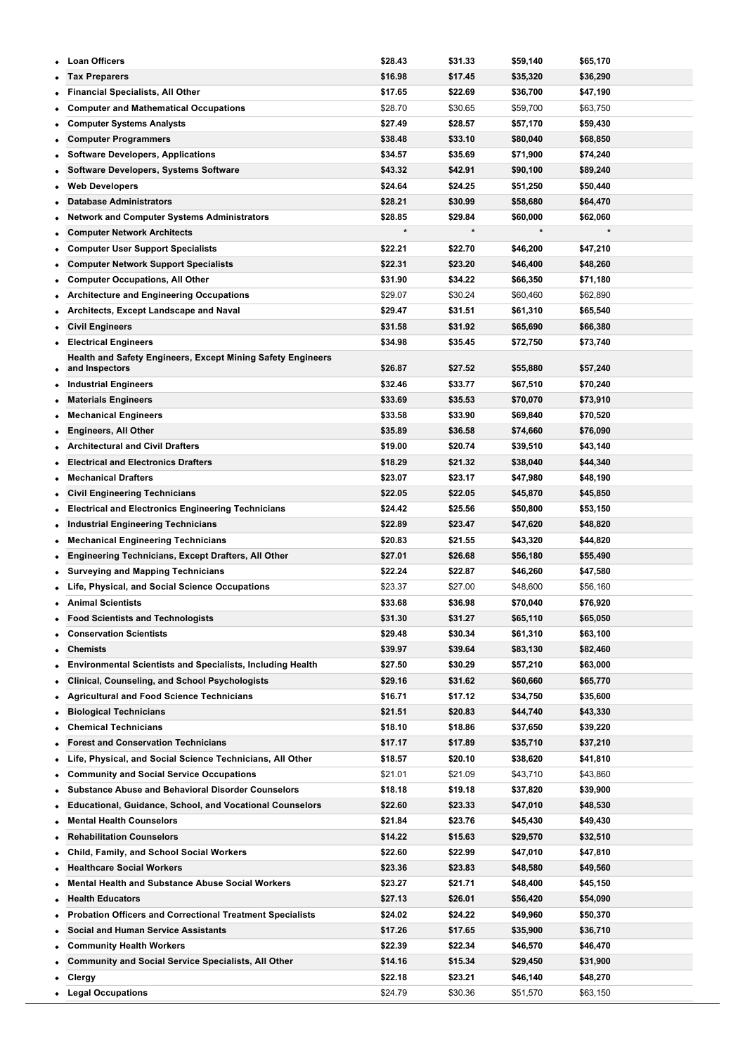|   | <b>Loan Officers</b>                                               | \$28.43 | \$31.33 | \$59,140 | \$65,170 |
|---|--------------------------------------------------------------------|---------|---------|----------|----------|
|   | <b>Tax Preparers</b>                                               | \$16.98 | \$17.45 | \$35,320 | \$36,290 |
|   | <b>Financial Specialists, All Other</b>                            | \$17.65 | \$22.69 | \$36,700 | \$47,190 |
|   | <b>Computer and Mathematical Occupations</b>                       | \$28.70 | \$30.65 | \$59,700 | \$63,750 |
| ٠ | <b>Computer Systems Analysts</b>                                   | \$27.49 | \$28.57 | \$57,170 | \$59,430 |
|   | <b>Computer Programmers</b>                                        | \$38.48 | \$33.10 | \$80,040 | \$68,850 |
|   | <b>Software Developers, Applications</b>                           | \$34.57 | \$35.69 | \$71,900 | \$74,240 |
| ٠ | Software Developers, Systems Software                              | \$43.32 | \$42.91 | \$90,100 | \$89,240 |
| ٠ | <b>Web Developers</b>                                              | \$24.64 | \$24.25 | \$51,250 | \$50,440 |
|   | <b>Database Administrators</b>                                     | \$28.21 | \$30.99 | \$58,680 | \$64,470 |
| ٠ | <b>Network and Computer Systems Administrators</b>                 | \$28.85 | \$29.84 | \$60,000 | \$62,060 |
| ٠ | <b>Computer Network Architects</b>                                 |         |         | $\star$  |          |
|   | <b>Computer User Support Specialists</b>                           | \$22.21 | \$22.70 | \$46,200 | \$47,210 |
| ٠ | <b>Computer Network Support Specialists</b>                        | \$22.31 | \$23.20 | \$46,400 | \$48,260 |
| ٠ | <b>Computer Occupations, All Other</b>                             | \$31.90 | \$34.22 | \$66,350 | \$71,180 |
|   | <b>Architecture and Engineering Occupations</b>                    | \$29.07 | \$30.24 | \$60,460 | \$62,890 |
| ٠ | Architects, Except Landscape and Naval                             | \$29.47 | \$31.51 | \$61,310 | \$65,540 |
| ٠ | <b>Civil Engineers</b>                                             | \$31.58 | \$31.92 | \$65,690 | \$66,380 |
| ٠ | <b>Electrical Engineers</b>                                        | \$34.98 | \$35.45 | \$72,750 | \$73,740 |
|   | <b>Health and Safety Engineers, Except Mining Safety Engineers</b> |         |         |          |          |
| ٠ | and Inspectors                                                     | \$26.87 | \$27.52 | \$55,880 | \$57,240 |
| ٠ | <b>Industrial Engineers</b>                                        | \$32.46 | \$33.77 | \$67,510 | \$70,240 |
| ٠ | <b>Materials Engineers</b>                                         | \$33.69 | \$35.53 | \$70,070 | \$73,910 |
|   | <b>Mechanical Engineers</b>                                        | \$33.58 | \$33.90 | \$69,840 | \$70,520 |
|   | <b>Engineers, All Other</b>                                        | \$35.89 | \$36.58 | \$74,660 | \$76,090 |
| ٠ | <b>Architectural and Civil Drafters</b>                            | \$19.00 | \$20.74 | \$39,510 | \$43,140 |
|   | <b>Electrical and Electronics Drafters</b>                         | \$18.29 | \$21.32 | \$38,040 | \$44,340 |
| ٠ | <b>Mechanical Drafters</b>                                         | \$23.07 | \$23.17 | \$47,980 | \$48,190 |
| ٠ | <b>Civil Engineering Technicians</b>                               | \$22.05 | \$22.05 | \$45,870 | \$45,850 |
|   | <b>Electrical and Electronics Engineering Technicians</b>          | \$24.42 | \$25.56 | \$50,800 | \$53,150 |
| ٠ | Industrial Engineering Technicians                                 | \$22.89 | \$23.47 | \$47,620 | \$48,820 |
| ٠ | <b>Mechanical Engineering Technicians</b>                          | \$20.83 | \$21.55 | \$43,320 | \$44,820 |
|   | <b>Engineering Technicians, Except Drafters, All Other</b>         | \$27.01 | \$26.68 | \$56,180 | \$55,490 |
|   | <b>Surveying and Mapping Technicians</b>                           | \$22.24 | \$22.87 | \$46,260 | \$47,580 |
|   | Life, Physical, and Social Science Occupations                     | \$23.37 | \$27.00 | \$48,600 | \$56,160 |
|   | <b>Animal Scientists</b>                                           | \$33.68 | \$36.98 | \$70,040 | \$76,920 |
|   | <b>Food Scientists and Technologists</b>                           | \$31.30 | \$31.27 | \$65,110 | \$65,050 |
|   | <b>Conservation Scientists</b>                                     | \$29.48 | \$30.34 | \$61,310 | \$63,100 |
| ٠ | Chemists                                                           | \$39.97 | \$39.64 | \$83,130 | \$82,460 |
| ٠ | <b>Environmental Scientists and Specialists, Including Health</b>  | \$27.50 | \$30.29 | \$57,210 | \$63,000 |
| ٠ | <b>Clinical, Counseling, and School Psychologists</b>              | \$29.16 | \$31.62 | \$60,660 | \$65,770 |
| ٠ | <b>Agricultural and Food Science Technicians</b>                   | \$16.71 | \$17.12 | \$34,750 | \$35,600 |
|   | <b>Biological Technicians</b>                                      | \$21.51 | \$20.83 | \$44,740 | \$43,330 |
|   | <b>Chemical Technicians</b>                                        | \$18.10 | \$18.86 | \$37,650 | \$39,220 |
|   | <b>Forest and Conservation Technicians</b>                         | \$17.17 | \$17.89 | \$35,710 | \$37,210 |
|   | Life, Physical, and Social Science Technicians, All Other          | \$18.57 | \$20.10 | \$38,620 | \$41,810 |
|   | <b>Community and Social Service Occupations</b>                    | \$21.01 | \$21.09 | \$43,710 | \$43,860 |
| ٠ | <b>Substance Abuse and Behavioral Disorder Counselors</b>          | \$18.18 | \$19.18 | \$37,820 | \$39,900 |
|   | <b>Educational, Guidance, School, and Vocational Counselors</b>    | \$22.60 | \$23.33 | \$47,010 | \$48,530 |
|   | <b>Mental Health Counselors</b>                                    | \$21.84 | \$23.76 | \$45,430 | \$49,430 |
|   | <b>Rehabilitation Counselors</b>                                   | \$14.22 | \$15.63 | \$29,570 | \$32,510 |
|   | Child, Family, and School Social Workers                           | \$22.60 | \$22.99 | \$47,010 | \$47,810 |
|   | <b>Healthcare Social Workers</b>                                   | \$23.36 | \$23.83 | \$48,580 | \$49,560 |
|   | <b>Mental Health and Substance Abuse Social Workers</b>            | \$23.27 | \$21.71 | \$48,400 | \$45,150 |
|   | <b>Health Educators</b>                                            | \$27.13 | \$26.01 | \$56,420 | \$54,090 |
|   | <b>Probation Officers and Correctional Treatment Specialists</b>   | \$24.02 | \$24.22 | \$49,960 | \$50,370 |
| ٠ | <b>Social and Human Service Assistants</b>                         | \$17.26 | \$17.65 | \$35,900 | \$36,710 |
| ٠ | <b>Community Health Workers</b>                                    | \$22.39 | \$22.34 | \$46,570 | \$46,470 |
|   | <b>Community and Social Service Specialists, All Other</b>         | \$14.16 | \$15.34 | \$29,450 | \$31,900 |
|   | Clergy                                                             | \$22.18 | \$23.21 | \$46,140 | \$48,270 |
| ٠ | <b>Legal Occupations</b>                                           | \$24.79 | \$30.36 | \$51,570 | \$63,150 |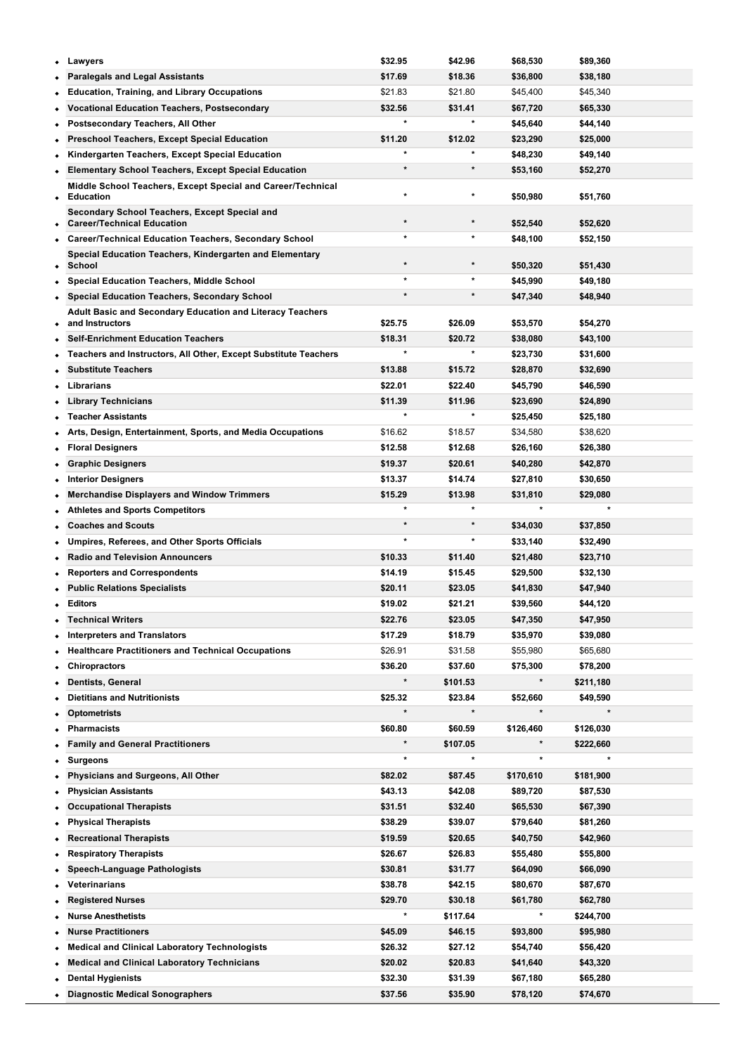| ٠ | Lawyers                                                                      | \$32.95 | \$42.96  | \$68,530  | \$89,360  |  |
|---|------------------------------------------------------------------------------|---------|----------|-----------|-----------|--|
|   | <b>Paralegals and Legal Assistants</b>                                       | \$17.69 | \$18.36  | \$36,800  | \$38,180  |  |
|   | <b>Education, Training, and Library Occupations</b>                          | \$21.83 | \$21.80  | \$45,400  | \$45,340  |  |
|   | <b>Vocational Education Teachers, Postsecondary</b>                          | \$32.56 | \$31.41  | \$67,720  | \$65,330  |  |
| ٠ | Postsecondary Teachers, All Other                                            |         | $\star$  | \$45,640  | \$44,140  |  |
|   | <b>Preschool Teachers, Except Special Education</b>                          | \$11.20 | \$12.02  | \$23,290  | \$25,000  |  |
| ٠ | Kindergarten Teachers, Except Special Education                              |         |          | \$48,230  | \$49,140  |  |
| ٠ | <b>Elementary School Teachers, Except Special Education</b>                  | $\star$ | $\star$  | \$53,160  | \$52,270  |  |
| ٠ | Middle School Teachers, Except Special and Career/Technical<br>Education     |         | $\star$  | \$50,980  | \$51,760  |  |
|   | Secondary School Teachers, Except Special and                                |         |          |           |           |  |
| ٠ | <b>Career/Technical Education</b>                                            | $\star$ | $\star$  | \$52,540  | \$52,620  |  |
| ٠ | <b>Career/Technical Education Teachers, Secondary School</b>                 | $\star$ | $\star$  | \$48,100  | \$52,150  |  |
| ٠ | Special Education Teachers, Kindergarten and Elementary<br>School            |         |          | \$50,320  | \$51,430  |  |
| ٠ | <b>Special Education Teachers, Middle School</b>                             |         | $\star$  | \$45,990  | \$49,180  |  |
| ٠ | <b>Special Education Teachers, Secondary School</b>                          | $\star$ | $\star$  | \$47,340  | \$48,940  |  |
| ٠ | Adult Basic and Secondary Education and Literacy Teachers<br>and Instructors | \$25.75 | \$26.09  | \$53,570  | \$54,270  |  |
|   | <b>Self-Enrichment Education Teachers</b>                                    | \$18.31 | \$20.72  | \$38,080  | \$43,100  |  |
|   | <b>Teachers and Instructors, All Other, Except Substitute Teachers</b>       |         | $\star$  | \$23,730  | \$31,600  |  |
|   | <b>Substitute Teachers</b>                                                   | \$13.88 | \$15.72  | \$28,870  | \$32,690  |  |
|   | Librarians                                                                   | \$22.01 | \$22.40  | \$45,790  | \$46,590  |  |
| ٠ | <b>Library Technicians</b>                                                   | \$11.39 | \$11.96  | \$23,690  | \$24,890  |  |
|   | <b>Teacher Assistants</b>                                                    | $\star$ | $\star$  | \$25,450  | \$25,180  |  |
|   | Arts, Design, Entertainment, Sports, and Media Occupations                   | \$16.62 | \$18.57  | \$34,580  | \$38,620  |  |
| ٠ | <b>Floral Designers</b>                                                      | \$12.58 | \$12.68  | \$26,160  | \$26,380  |  |
| ٠ | <b>Graphic Designers</b>                                                     | \$19.37 | \$20.61  | \$40,280  | \$42,870  |  |
| ٠ | <b>Interior Designers</b>                                                    | \$13.37 | \$14.74  | \$27,810  | \$30,650  |  |
| ٠ | <b>Merchandise Displayers and Window Trimmers</b>                            | \$15.29 | \$13.98  | \$31,810  | \$29,080  |  |
| ٠ | <b>Athletes and Sports Competitors</b>                                       | $\star$ | $\star$  | $\star$   |           |  |
|   | <b>Coaches and Scouts</b>                                                    | $\star$ | $\star$  | \$34,030  | \$37,850  |  |
|   | Umpires, Referees, and Other Sports Officials                                |         | *        | \$33,140  | \$32,490  |  |
| ٠ | <b>Radio and Television Announcers</b>                                       | \$10.33 | \$11.40  | \$21,480  | \$23,710  |  |
|   | <b>Reporters and Correspondents</b>                                          | \$14.19 | \$15.45  | \$29,500  | \$32,130  |  |
|   | <b>Public Relations Specialists</b>                                          | \$20.11 | \$23.05  | \$41,830  | \$47,940  |  |
| ٠ | Editors                                                                      | \$19.02 | \$21.21  | \$39,560  | \$44,120  |  |
| ٠ | <b>Technical Writers</b>                                                     | \$22.76 | \$23.05  | \$47,350  | \$47,950  |  |
| ٠ | <b>Interpreters and Translators</b>                                          | \$17.29 | \$18.79  | \$35,970  | \$39,080  |  |
| ٠ | <b>Healthcare Practitioners and Technical Occupations</b>                    | \$26.91 | \$31.58  | \$55,980  | \$65,680  |  |
| ٠ | <b>Chiropractors</b>                                                         | \$36.20 | \$37.60  | \$75,300  | \$78,200  |  |
|   | <b>Dentists, General</b>                                                     |         | \$101.53 | $\star$   | \$211,180 |  |
| ٠ | <b>Dietitians and Nutritionists</b>                                          | \$25.32 | \$23.84  | \$52,660  | \$49,590  |  |
| ٠ | <b>Optometrists</b>                                                          | $\star$ | $\star$  | $\star$   | $\star$   |  |
| ٠ | <b>Pharmacists</b>                                                           | \$60.80 | \$60.59  | \$126,460 | \$126,030 |  |
|   | <b>Family and General Practitioners</b>                                      |         | \$107.05 |           | \$222,660 |  |
|   | Surgeons                                                                     | $\star$ | $\star$  | $\star$   |           |  |
|   | Physicians and Surgeons, All Other                                           | \$82.02 | \$87.45  | \$170,610 | \$181,900 |  |
|   | <b>Physician Assistants</b>                                                  | \$43.13 | \$42.08  | \$89,720  | \$87,530  |  |
|   | <b>Occupational Therapists</b>                                               | \$31.51 | \$32.40  | \$65,530  | \$67,390  |  |
|   | <b>Physical Therapists</b>                                                   | \$38.29 | \$39.07  | \$79,640  | \$81,260  |  |
|   | <b>Recreational Therapists</b>                                               | \$19.59 | \$20.65  | \$40,750  | \$42,960  |  |
| ٠ | <b>Respiratory Therapists</b>                                                | \$26.67 | \$26.83  | \$55,480  | \$55,800  |  |
|   | <b>Speech-Language Pathologists</b>                                          | \$30.81 | \$31.77  | \$64,090  | \$66,090  |  |
|   | Veterinarians                                                                | \$38.78 | \$42.15  | \$80,670  | \$87,670  |  |
| ٠ | <b>Registered Nurses</b>                                                     | \$29.70 | \$30.18  | \$61,780  | \$62,780  |  |
| ٠ | <b>Nurse Anesthetists</b>                                                    |         | \$117.64 | $\ast$    | \$244,700 |  |
|   | <b>Nurse Practitioners</b>                                                   | \$45.09 | \$46.15  | \$93,800  | \$95,980  |  |
| ٠ | <b>Medical and Clinical Laboratory Technologists</b>                         | \$26.32 | \$27.12  | \$54,740  | \$56,420  |  |
| ٠ | <b>Medical and Clinical Laboratory Technicians</b>                           | \$20.02 | \$20.83  | \$41,640  | \$43,320  |  |
|   | <b>Dental Hygienists</b>                                                     | \$32.30 | \$31.39  | \$67,180  | \$65,280  |  |
|   | <b>Diagnostic Medical Sonographers</b>                                       | \$37.56 | \$35.90  | \$78,120  | \$74,670  |  |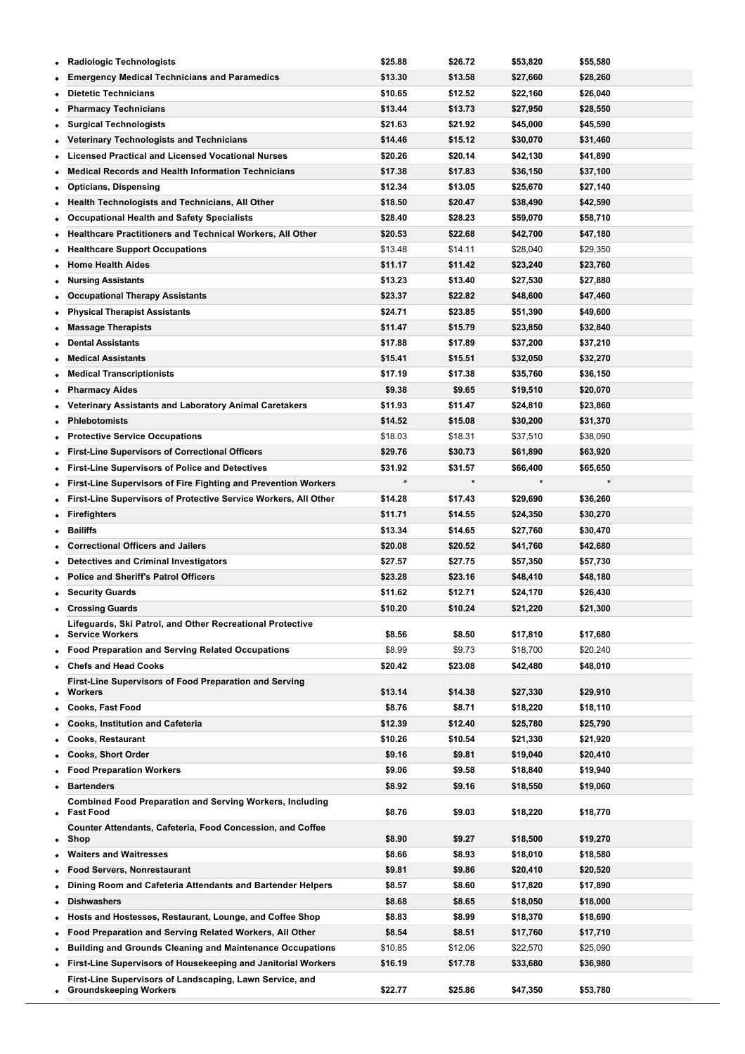| <b>Radiologic Technologists</b><br>٠                                                             |                                                                   | \$25.88            | \$26.72            | \$53,820             | \$55,580             |
|--------------------------------------------------------------------------------------------------|-------------------------------------------------------------------|--------------------|--------------------|----------------------|----------------------|
| <b>Emergency Medical Technicians and Paramedics</b>                                              |                                                                   | \$13.30            | \$13.58            | \$27,660             | \$28,260             |
| <b>Dietetic Technicians</b>                                                                      |                                                                   | \$10.65            | \$12.52            | \$22,160             | \$26,040             |
| <b>Pharmacy Technicians</b><br>٠                                                                 |                                                                   | \$13.44            | \$13.73            | \$27,950             | \$28,550             |
| <b>Surgical Technologists</b>                                                                    |                                                                   | \$21.63            | \$21.92            | \$45,000             | \$45,590             |
| <b>Veterinary Technologists and Technicians</b>                                                  |                                                                   | \$14.46            | \$15.12            | \$30,070             | \$31,460             |
| <b>Licensed Practical and Licensed Vocational Nurses</b><br>٠                                    |                                                                   | \$20.26            | \$20.14            | \$42,130             | \$41,890             |
| <b>Medical Records and Health Information Technicians</b><br>٠                                   |                                                                   | \$17.38            | \$17.83            | \$36,150             | \$37,100             |
| <b>Opticians, Dispensing</b><br>٠                                                                |                                                                   | \$12.34            | \$13.05            | \$25,670             | \$27,140             |
| Health Technologists and Technicians, All Other<br>٠                                             |                                                                   | \$18.50            | \$20.47            | \$38,490             | \$42,590             |
| <b>Occupational Health and Safety Specialists</b><br>٠                                           |                                                                   | \$28.40            | \$28.23            | \$59,070             | \$58,710             |
|                                                                                                  | Healthcare Practitioners and Technical Workers, All Other         | \$20.53            | \$22.68            | \$42,700             | \$47,180             |
| <b>Healthcare Support Occupations</b><br>٠                                                       |                                                                   | \$13.48            | \$14.11            | \$28,040             | \$29,350             |
| <b>Home Health Aides</b><br>٠                                                                    |                                                                   | \$11.17            | \$11.42            | \$23,240             | \$23,760             |
| <b>Nursing Assistants</b>                                                                        |                                                                   | \$13.23            | \$13.40            | \$27,530             | \$27,880             |
| <b>Occupational Therapy Assistants</b>                                                           |                                                                   | \$23.37            | \$22.82            | \$48,600             | \$47,460             |
| <b>Physical Therapist Assistants</b><br>٠                                                        |                                                                   | \$24.71            | \$23.85            | \$51,390             | \$49,600             |
| <b>Massage Therapists</b>                                                                        |                                                                   | \$11.47            | \$15.79            | \$23,850             | \$32,840             |
| <b>Dental Assistants</b>                                                                         |                                                                   | \$17.88            | \$17.89            | \$37,200             | \$37,210             |
| <b>Medical Assistants</b><br>٠                                                                   |                                                                   | \$15.41            | \$15.51            | \$32,050             | \$32,270             |
| <b>Medical Transcriptionists</b><br>٠                                                            |                                                                   | \$17.19            | \$17.38            | \$35,760             | \$36,150             |
| <b>Pharmacy Aides</b>                                                                            |                                                                   | \$9.38             | \$9.65             | \$19,510             | \$20,070             |
| ٠                                                                                                | <b>Veterinary Assistants and Laboratory Animal Caretakers</b>     | \$11.93            | \$11.47            | \$24,810             | \$23,860             |
| <b>Phlebotomists</b><br>٠                                                                        |                                                                   | \$14.52            | \$15.08            | \$30,200             | \$31,370             |
| <b>Protective Service Occupations</b><br>$\bullet$                                               |                                                                   | \$18.03            | \$18.31            | \$37,510             | \$38,090             |
| <b>First-Line Supervisors of Correctional Officers</b><br>٠                                      |                                                                   | \$29.76            | \$30.73            | \$61,890             | \$63,920             |
| <b>First-Line Supervisors of Police and Detectives</b><br>٠                                      |                                                                   | \$31.92<br>*       | \$31.57            | \$66,400             | \$65,650             |
|                                                                                                  | First-Line Supervisors of Fire Fighting and Prevention Workers    |                    |                    |                      |                      |
| ٠                                                                                                | First-Line Supervisors of Protective Service Workers, All Other   | \$14.28            | \$17.43            | \$29,690             | \$36,260             |
| <b>Firefighters</b><br>٠                                                                         |                                                                   | \$11.71            | \$14.55            | \$24,350             | \$30,270             |
| <b>Bailiffs</b>                                                                                  |                                                                   | \$13.34            | \$14.65            | \$27,760             | \$30,470             |
| <b>Correctional Officers and Jailers</b>                                                         |                                                                   | \$20.08<br>\$27.57 | \$20.52<br>\$27.75 | \$41,760             | \$42,680             |
| <b>Detectives and Criminal Investigators</b><br>٠<br><b>Police and Sheriff's Patrol Officers</b> |                                                                   | \$23.28            | \$23.16            | \$57,350<br>\$48,410 | \$57,730<br>\$48,180 |
| <b>Security Guards</b>                                                                           |                                                                   | \$11.62            | \$12.71            | \$24,170             | \$26,430             |
| <b>Crossing Guards</b><br>٠                                                                      |                                                                   | \$10.20            | \$10.24            | \$21,220             | \$21,300             |
|                                                                                                  | Lifeguards, Ski Patrol, and Other Recreational Protective         |                    |                    |                      |                      |
| <b>Service Workers</b><br>٠                                                                      |                                                                   | \$8.56             | \$8.50             | \$17,810             | \$17,680             |
| <b>Food Preparation and Serving Related Occupations</b>                                          |                                                                   | \$8.99             | \$9.73             | \$18,700             | \$20,240             |
| <b>Chefs and Head Cooks</b><br>٠                                                                 |                                                                   | \$20.42            | \$23.08            | \$42,480             | \$48,010             |
|                                                                                                  | First-Line Supervisors of Food Preparation and Serving            |                    |                    |                      |                      |
| Workers<br>٠                                                                                     |                                                                   | \$13.14            | \$14.38            | \$27,330             | \$29,910             |
| <b>Cooks, Fast Food</b><br>٠                                                                     |                                                                   | \$8.76             | \$8.71             | \$18,220             | \$18,110             |
| <b>Cooks, Institution and Cafeteria</b><br><b>Cooks, Restaurant</b>                              |                                                                   | \$12.39<br>\$10.26 | \$12.40<br>\$10.54 | \$25,780             | \$25,790<br>\$21,920 |
| <b>Cooks, Short Order</b>                                                                        |                                                                   | \$9.16             | \$9.81             | \$21,330<br>\$19,040 | \$20,410             |
| <b>Food Preparation Workers</b>                                                                  |                                                                   | \$9.06             | \$9.58             | \$18,840             | \$19,940             |
| <b>Bartenders</b><br>٠                                                                           |                                                                   | \$8.92             | \$9.16             | \$18,550             | \$19,060             |
|                                                                                                  | <b>Combined Food Preparation and Serving Workers, Including</b>   |                    |                    |                      |                      |
| <b>Fast Food</b><br>$\bullet$                                                                    |                                                                   | \$8.76             | \$9.03             | \$18,220             | \$18,770             |
|                                                                                                  | <b>Counter Attendants, Cafeteria, Food Concession, and Coffee</b> | \$8.90             | \$9.27             | \$18,500             | \$19,270             |
| Shop<br>$\bullet$<br><b>Waiters and Waitresses</b><br>$\bullet$                                  |                                                                   | \$8.66             | \$8.93             | \$18,010             | \$18,580             |
| <b>Food Servers, Nonrestaurant</b><br>٠                                                          |                                                                   | \$9.81             | \$9.86             | \$20,410             | \$20,520             |
| ٠                                                                                                | Dining Room and Cafeteria Attendants and Bartender Helpers        | \$8.57             | \$8.60             | \$17,820             | \$17,890             |
| <b>Dishwashers</b><br>$\bullet$                                                                  |                                                                   | \$8.68             | \$8.65             | \$18,050             | \$18,000             |
|                                                                                                  | Hosts and Hostesses, Restaurant, Lounge, and Coffee Shop          | \$8.83             | \$8.99             | \$18,370             | \$18,690             |
| ٠                                                                                                | Food Preparation and Serving Related Workers, All Other           | \$8.54             | \$8.51             | \$17,760             | \$17,710             |
| ٠                                                                                                | <b>Building and Grounds Cleaning and Maintenance Occupations</b>  | \$10.85            | \$12.06            | \$22,570             | \$25,090             |
|                                                                                                  | First-Line Supervisors of Housekeeping and Janitorial Workers     | \$16.19            | \$17.78            | \$33,680             | \$36,980             |
|                                                                                                  | First-Line Supervisors of Landscaping, Lawn Service, and          |                    |                    |                      |                      |
| Groundskeeping Workers<br>٠                                                                      |                                                                   | \$22.77            | \$25.86            | \$47,350             | \$53,780             |

**Janitors and Cleaners, Except Maids and Housekeeping**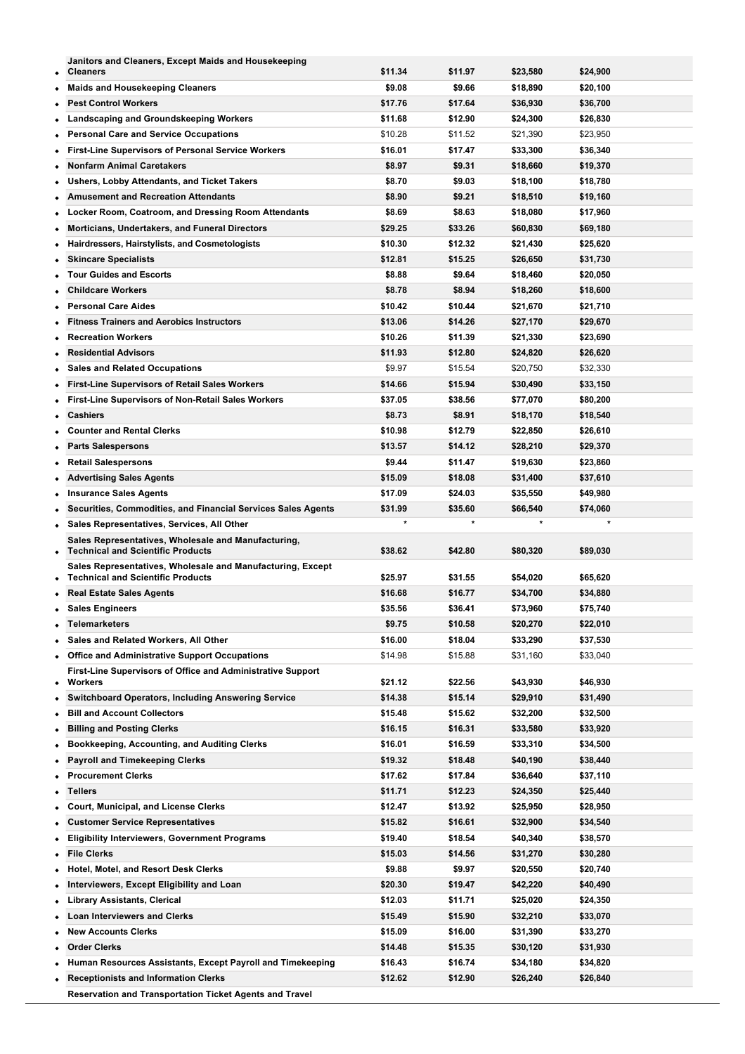| $\bullet$ | Janitors and Cleaners, Except Maids and Housekeeping<br><b>Cleaners</b>                                | \$11.34 | \$11.97 | \$23,580 | \$24,900 |
|-----------|--------------------------------------------------------------------------------------------------------|---------|---------|----------|----------|
|           | <b>Maids and Housekeeping Cleaners</b>                                                                 | \$9.08  | \$9.66  | \$18,890 | \$20,100 |
| $\bullet$ | <b>Pest Control Workers</b>                                                                            | \$17.76 | \$17.64 | \$36,930 | \$36,700 |
|           |                                                                                                        | \$11.68 | \$12.90 |          |          |
|           | <b>Landscaping and Groundskeeping Workers</b>                                                          |         |         | \$24,300 | \$26,830 |
| ٠         | <b>Personal Care and Service Occupations</b>                                                           | \$10.28 | \$11.52 | \$21,390 | \$23,950 |
| ٠         | <b>First-Line Supervisors of Personal Service Workers</b>                                              | \$16.01 | \$17.47 | \$33,300 | \$36,340 |
| ٠         | <b>Nonfarm Animal Caretakers</b>                                                                       | \$8.97  | \$9.31  | \$18,660 | \$19,370 |
| ٠         | Ushers, Lobby Attendants, and Ticket Takers                                                            | \$8.70  | \$9.03  | \$18,100 | \$18,780 |
|           | <b>Amusement and Recreation Attendants</b>                                                             | \$8.90  | \$9.21  | \$18,510 | \$19,160 |
| ٠         | Locker Room, Coatroom, and Dressing Room Attendants                                                    | \$8.69  | \$8.63  | \$18,080 | \$17,960 |
| $\bullet$ | Morticians, Undertakers, and Funeral Directors                                                         | \$29.25 | \$33.26 | \$60,830 | \$69,180 |
| ٠         | Hairdressers, Hairstylists, and Cosmetologists                                                         | \$10.30 | \$12.32 | \$21,430 | \$25,620 |
|           | <b>Skincare Specialists</b>                                                                            | \$12.81 | \$15.25 | \$26,650 | \$31,730 |
|           | <b>Tour Guides and Escorts</b>                                                                         | \$8.88  | \$9.64  | \$18,460 | \$20,050 |
|           | <b>Childcare Workers</b>                                                                               | \$8.78  | \$8.94  | \$18,260 | \$18,600 |
|           | <b>Personal Care Aides</b>                                                                             | \$10.42 | \$10.44 | \$21,670 | \$21,710 |
|           | <b>Fitness Trainers and Aerobics Instructors</b>                                                       | \$13.06 | \$14.26 | \$27,170 | \$29,670 |
| ٠         | <b>Recreation Workers</b>                                                                              | \$10.26 | \$11.39 | \$21,330 | \$23,690 |
|           | <b>Residential Advisors</b>                                                                            | \$11.93 | \$12.80 | \$24,820 | \$26,620 |
| ٠         | <b>Sales and Related Occupations</b>                                                                   | \$9.97  | \$15.54 | \$20.750 | \$32,330 |
| ٠         | <b>First-Line Supervisors of Retail Sales Workers</b>                                                  | \$14.66 | \$15.94 | \$30,490 | \$33,150 |
|           | First-Line Supervisors of Non-Retail Sales Workers                                                     | \$37.05 | \$38.56 | \$77,070 | \$80,200 |
| ٠         | <b>Cashiers</b>                                                                                        | \$8.73  | \$8.91  | \$18,170 | \$18,540 |
| ٠         | <b>Counter and Rental Clerks</b>                                                                       | \$10.98 | \$12.79 | \$22,850 | \$26,610 |
|           | <b>Parts Salespersons</b>                                                                              | \$13.57 | \$14.12 | \$28,210 | \$29,370 |
|           | <b>Retail Salespersons</b>                                                                             | \$9.44  | \$11.47 | \$19,630 | \$23,860 |
|           | <b>Advertising Sales Agents</b>                                                                        | \$15.09 | \$18.08 | \$31,400 | \$37,610 |
|           | <b>Insurance Sales Agents</b>                                                                          | \$17.09 | \$24.03 | \$35,550 | \$49,980 |
|           | Securities, Commodities, and Financial Services Sales Agents                                           | \$31.99 | \$35.60 | \$66,540 | \$74,060 |
| ٠         | Sales Representatives, Services, All Other                                                             | $\star$ | $\star$ | *        | $\star$  |
| ٠         | Sales Representatives, Wholesale and Manufacturing,<br><b>Technical and Scientific Products</b>        | \$38.62 | \$42.80 | \$80,320 | \$89,030 |
|           | Sales Representatives, Wholesale and Manufacturing, Except<br><b>Technical and Scientific Products</b> | \$25.97 | \$31.55 | \$54,020 | \$65,620 |
| ٠         |                                                                                                        |         |         |          |          |
|           | <b>Real Estate Sales Agents</b>                                                                        | \$16.68 | \$16.77 | \$34,700 | \$34,880 |
| ٠         | <b>Sales Engineers</b>                                                                                 | \$35.56 | \$36.41 | \$73,960 | \$75,740 |
| ٠         | Telemarketers                                                                                          | \$9.75  | \$10.58 | \$20,270 | \$22,010 |
|           | Sales and Related Workers, All Other                                                                   | \$16.00 | \$18.04 | \$33,290 | \$37,530 |
| ٠         | <b>Office and Administrative Support Occupations</b>                                                   | \$14.98 | \$15.88 | \$31,160 | \$33,040 |
| ٠         | First-Line Supervisors of Office and Administrative Support<br>Workers                                 | \$21.12 | \$22.56 | \$43,930 | \$46,930 |
| ٠         | <b>Switchboard Operators, Including Answering Service</b>                                              | \$14.38 | \$15.14 | \$29,910 | \$31,490 |
| ٠         | <b>Bill and Account Collectors</b>                                                                     | \$15.48 | \$15.62 | \$32,200 | \$32,500 |
| ٠         | <b>Billing and Posting Clerks</b>                                                                      | \$16.15 | \$16.31 | \$33,580 | \$33,920 |
| ٠         | Bookkeeping, Accounting, and Auditing Clerks                                                           | \$16.01 | \$16.59 | \$33,310 | \$34,500 |
|           | <b>Payroll and Timekeeping Clerks</b>                                                                  | \$19.32 | \$18.48 | \$40,190 | \$38,440 |
|           | <b>Procurement Clerks</b>                                                                              | \$17.62 | \$17.84 | \$36,640 | \$37,110 |
| ٠         | Tellers                                                                                                | \$11.71 | \$12.23 | \$24,350 | \$25,440 |
|           | Court, Municipal, and License Clerks                                                                   | \$12.47 | \$13.92 | \$25,950 | \$28,950 |
|           | <b>Customer Service Representatives</b>                                                                | \$15.82 | \$16.61 | \$32,900 | \$34,540 |
| ٠         | <b>Eligibility Interviewers, Government Programs</b>                                                   | \$19.40 | \$18.54 | \$40,340 | \$38,570 |
| ٠         | <b>File Clerks</b>                                                                                     | \$15.03 | \$14.56 | \$31,270 | \$30,280 |
|           | Hotel, Motel, and Resort Desk Clerks                                                                   | \$9.88  | \$9.97  | \$20,550 | \$20,740 |
|           | Interviewers, Except Eligibility and Loan                                                              | \$20.30 | \$19.47 | \$42,220 | \$40,490 |
| ٠         | <b>Library Assistants, Clerical</b>                                                                    | \$12.03 | \$11.71 | \$25,020 | \$24,350 |
|           | <b>Loan Interviewers and Clerks</b>                                                                    | \$15.49 | \$15.90 | \$32,210 | \$33,070 |
|           | <b>New Accounts Clerks</b>                                                                             | \$15.09 | \$16.00 | \$31,390 | \$33,270 |
| ۰         | <b>Order Clerks</b>                                                                                    | \$14.48 | \$15.35 | \$30,120 | \$31,930 |
|           | Human Resources Assistants, Except Payroll and Timekeeping                                             | \$16.43 | \$16.74 | \$34,180 | \$34,820 |
| ٠         | <b>Receptionists and Information Clerks</b>                                                            | \$12.62 | \$12.90 | \$26,240 | \$26,840 |
|           | Reservation and Transportation Ticket Agents and Travel                                                |         |         |          |          |

**Clerks \$13.31 \$13.15 \$27,690 \$27,360**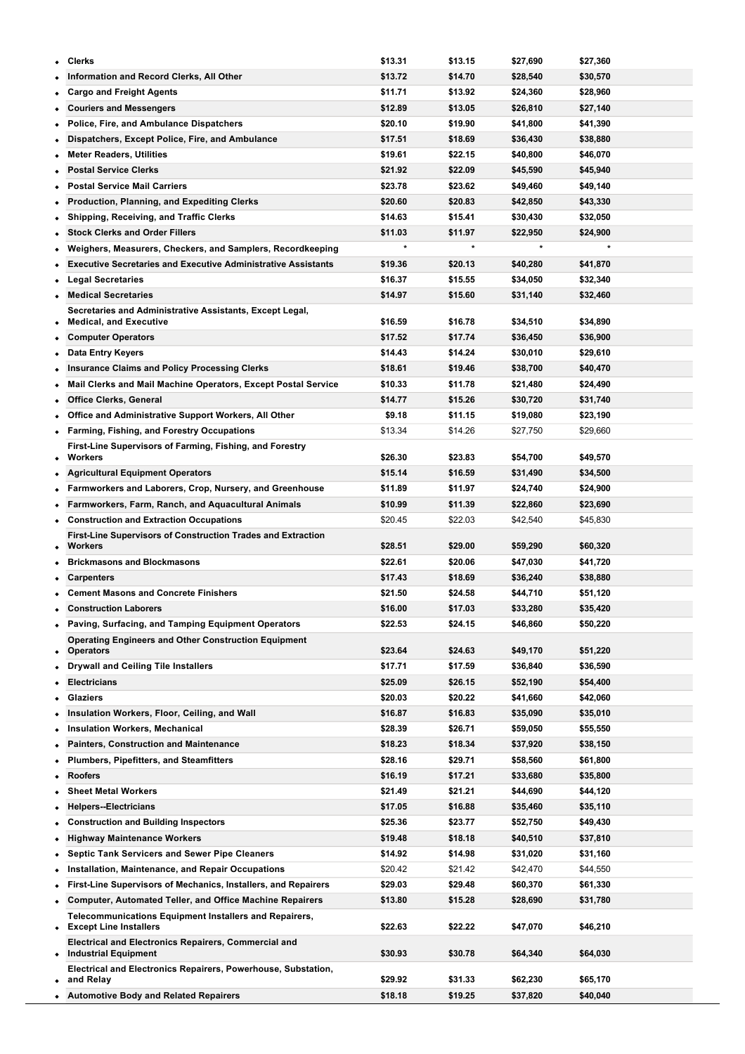| ٠         | <b>Clerks</b>                                                                           | \$13.31            | \$13.15            | \$27,690             | \$27,360             |
|-----------|-----------------------------------------------------------------------------------------|--------------------|--------------------|----------------------|----------------------|
|           | Information and Record Clerks, All Other                                                | \$13.72            | \$14.70            | \$28,540             | \$30,570             |
|           | <b>Cargo and Freight Agents</b>                                                         | \$11.71            | \$13.92            | \$24,360             | \$28,960             |
| ٠         | <b>Couriers and Messengers</b>                                                          | \$12.89            | \$13.05            | \$26,810             | \$27,140             |
|           | <b>Police, Fire, and Ambulance Dispatchers</b>                                          | \$20.10            | \$19.90            | \$41,800             | \$41,390             |
|           | Dispatchers, Except Police, Fire, and Ambulance                                         | \$17.51            | \$18.69            | \$36,430             | \$38,880             |
| ٠         | <b>Meter Readers, Utilities</b>                                                         | \$19.61            | \$22.15            | \$40,800             | \$46,070             |
| ٠         | <b>Postal Service Clerks</b>                                                            | \$21.92            | \$22.09            | \$45,590             | \$45,940             |
|           | <b>Postal Service Mail Carriers</b>                                                     | \$23.78            | \$23.62            | \$49,460             | \$49,140             |
| ٠         | <b>Production, Planning, and Expediting Clerks</b>                                      | \$20.60            | \$20.83            | \$42,850             | \$43,330             |
| ٠         | <b>Shipping, Receiving, and Traffic Clerks</b>                                          | \$14.63            | \$15.41            | \$30,430             | \$32,050             |
|           | <b>Stock Clerks and Order Fillers</b>                                                   | \$11.03            | \$11.97            | \$22,950             | \$24,900             |
| ٠         | Weighers, Measurers, Checkers, and Samplers, Recordkeeping                              |                    |                    |                      |                      |
|           | <b>Executive Secretaries and Executive Administrative Assistants</b>                    | \$19.36            | \$20.13            | \$40,280             | \$41,870             |
|           | <b>Legal Secretaries</b>                                                                | \$16.37            | \$15.55            | \$34,050             | \$32,340             |
|           | <b>Medical Secretaries</b>                                                              | \$14.97            | \$15.60            | \$31,140             | \$32,460             |
|           | Secretaries and Administrative Assistants, Except Legal,                                |                    |                    |                      |                      |
| ٠         | <b>Medical, and Executive</b>                                                           | \$16.59            | \$16.78            | \$34,510             | \$34,890             |
| $\bullet$ | <b>Computer Operators</b>                                                               | \$17.52            | \$17.74            | \$36,450             | \$36,900             |
|           | <b>Data Entry Keyers</b>                                                                | \$14.43            | \$14.24            | \$30,010             | \$29,610             |
|           | <b>Insurance Claims and Policy Processing Clerks</b>                                    | \$18.61            | \$19.46            | \$38,700             | \$40,470             |
| ٠         | Mail Clerks and Mail Machine Operators, Except Postal Service                           | \$10.33            | \$11.78            | \$21,480             | \$24,490             |
|           | <b>Office Clerks, General</b>                                                           | \$14.77            | \$15.26            | \$30,720             | \$31,740             |
|           | Office and Administrative Support Workers, All Other                                    | \$9.18             | \$11.15            | \$19,080             | \$23,190             |
|           | • Farming, Fishing, and Forestry Occupations                                            | \$13.34            | \$14.26            | \$27,750             | \$29,660             |
|           | First-Line Supervisors of Farming, Fishing, and Forestry<br>Workers                     |                    |                    |                      |                      |
| ٠         |                                                                                         | \$26.30            | \$23.83            | \$54,700             | \$49,570             |
|           | <b>Agricultural Equipment Operators</b>                                                 | \$15.14            | \$16.59            | \$31,490             | \$34,500             |
| ٠         | Farmworkers and Laborers, Crop, Nursery, and Greenhouse                                 | \$11.89            | \$11.97            | \$24,740             | \$24,900             |
| ٠         | Farmworkers, Farm, Ranch, and Aquacultural Animals                                      | \$10.99<br>\$20.45 | \$11.39<br>\$22.03 | \$22,860             | \$23,690             |
|           | <b>Construction and Extraction Occupations</b>                                          |                    |                    | \$42,540             | \$45,830             |
|           | <b>First-Line Supervisors of Construction Trades and Extraction</b><br><b>Workers</b>   | \$28.51            | \$29.00            | \$59,290             | \$60,320             |
| ٠         | <b>Brickmasons and Blockmasons</b>                                                      | \$22.61            | \$20.06            | \$47,030             | \$41,720             |
| ٠         | <b>Carpenters</b>                                                                       | \$17.43            | \$18.69            | \$36,240             | \$38,880             |
|           | <b>Cement Masons and Concrete Finishers</b>                                             | \$21.50            | \$24.58            | \$44,710             | \$51,120             |
|           | <b>Construction Laborers</b>                                                            | \$16.00            | \$17.03            | \$33,280             | \$35,420             |
| ٠         | Paving, Surfacing, and Tamping Equipment Operators                                      | \$22.53            | \$24.15            | \$46,860             | \$50,220             |
|           | <b>Operating Engineers and Other Construction Equipment</b>                             |                    |                    |                      |                      |
| ٠         | <b>Operators</b>                                                                        | \$23.64            | \$24.63            | \$49,170             | \$51,220             |
|           | <b>Drywall and Ceiling Tile Installers</b>                                              | \$17.71            | \$17.59            | \$36,840             | \$36,590             |
| ٠         | <b>Electricians</b>                                                                     | \$25.09            | \$26.15            | \$52,190             | \$54,400             |
| ٠         | <b>Glaziers</b>                                                                         | \$20.03            | \$20.22            | \$41,660             | \$42,060             |
|           | Insulation Workers, Floor, Ceiling, and Wall                                            | \$16.87            | \$16.83            | \$35,090             | \$35,010             |
| ٠         | <b>Insulation Workers, Mechanical</b>                                                   | \$28.39            | \$26.71            | \$59,050             | \$55,550             |
| ٠         | Painters, Construction and Maintenance                                                  | \$18.23            | \$18.34            | \$37,920             | \$38,150             |
|           | <b>Plumbers, Pipefitters, and Steamfitters</b>                                          | \$28.16            | \$29.71            | \$58,560             | \$61,800             |
|           | <b>Roofers</b>                                                                          | \$16.19            | \$17.21            | \$33,680             | \$35,800             |
| ٠         | <b>Sheet Metal Workers</b>                                                              | \$21.49            | \$21.21            | \$44,690             | \$44,120             |
|           | <b>Helpers--Electricians</b>                                                            | \$17.05            | \$16.88            | \$35,460             | \$35,110             |
|           | <b>Construction and Building Inspectors</b>                                             | \$25.36            | \$23.77            | \$52,750             | \$49,430             |
| ٠         | <b>Highway Maintenance Workers</b>                                                      | \$19.48            | \$18.18            | \$40,510             | \$37,810             |
| ٠         | <b>Septic Tank Servicers and Sewer Pipe Cleaners</b>                                    | \$14.92            | \$14.98            | \$31,020             | \$31,160             |
|           | Installation, Maintenance, and Repair Occupations                                       | \$20.42            | \$21.42            | \$42,470             | \$44,550             |
|           | First-Line Supervisors of Mechanics, Installers, and Repairers                          | \$29.03            | \$29.48            | \$60,370             | \$61,330             |
| $\bullet$ | <b>Computer, Automated Teller, and Office Machine Repairers</b>                         | \$13.80            | \$15.28            | \$28,690             | \$31,780             |
| ٠         | Telecommunications Equipment Installers and Repairers,<br><b>Except Line Installers</b> | \$22.63            | \$22.22            | \$47,070             | \$46,210             |
|           | <b>Electrical and Electronics Repairers, Commercial and</b>                             |                    |                    |                      |                      |
|           | <b>Industrial Equipment</b>                                                             | \$30.93            | \$30.78            | \$64,340             | \$64,030             |
|           | Electrical and Electronics Repairers, Powerhouse, Substation,                           |                    |                    |                      |                      |
|           |                                                                                         |                    |                    |                      |                      |
| ٠         | and Relay<br>• Automotive Body and Related Repairers                                    | \$29.92<br>\$18.18 | \$31.33<br>\$19.25 | \$62,230<br>\$37,820 | \$65,170<br>\$40,040 |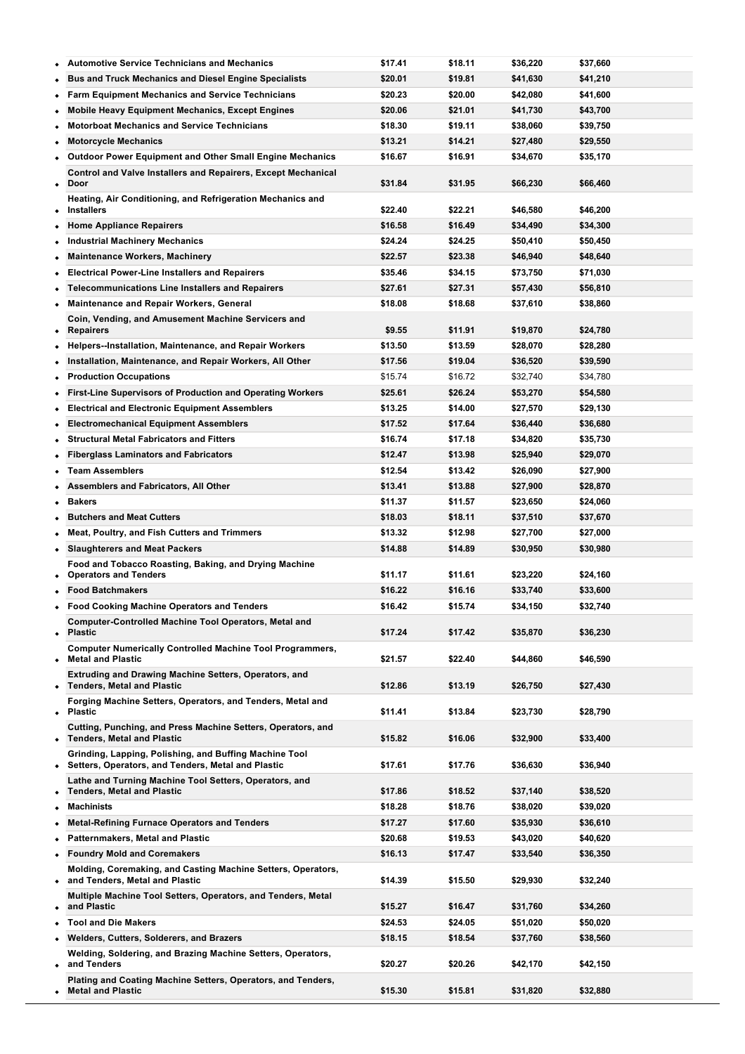|           | <b>Automotive Service Technicians and Mechanics</b>                                                            | \$17.41 | \$18.11 | \$36,220 | \$37,660             |
|-----------|----------------------------------------------------------------------------------------------------------------|---------|---------|----------|----------------------|
|           | <b>Bus and Truck Mechanics and Diesel Engine Specialists</b>                                                   | \$20.01 | \$19.81 | \$41,630 | \$41,210             |
| ٠         | <b>Farm Equipment Mechanics and Service Technicians</b>                                                        | \$20.23 | \$20.00 | \$42,080 | \$41,600             |
|           | <b>Mobile Heavy Equipment Mechanics, Except Engines</b>                                                        | \$20.06 | \$21.01 | \$41,730 | \$43,700             |
|           | <b>Motorboat Mechanics and Service Technicians</b>                                                             | \$18.30 | \$19.11 | \$38,060 | \$39,750             |
| ٠         | <b>Motorcycle Mechanics</b>                                                                                    | \$13.21 | \$14.21 | \$27,480 | \$29,550             |
|           | <b>Outdoor Power Equipment and Other Small Engine Mechanics</b>                                                | \$16.67 | \$16.91 | \$34,670 | \$35,170             |
|           | <b>Control and Valve Installers and Repairers, Except Mechanical</b>                                           |         |         |          |                      |
| $\bullet$ | Door                                                                                                           | \$31.84 | \$31.95 | \$66,230 | \$66,460             |
|           | Heating, Air Conditioning, and Refrigeration Mechanics and<br><b>Installers</b>                                | \$22.40 | \$22.21 | \$46,580 | \$46,200             |
|           | <b>Home Appliance Repairers</b>                                                                                | \$16.58 | \$16.49 | \$34,490 | \$34,300             |
| ٠<br>٠    | <b>Industrial Machinery Mechanics</b>                                                                          | \$24.24 | \$24.25 | \$50,410 | \$50,450             |
|           | <b>Maintenance Workers, Machinery</b>                                                                          | \$22.57 | \$23.38 | \$46,940 | \$48,640             |
|           | <b>Electrical Power-Line Installers and Repairers</b>                                                          | \$35.46 | \$34.15 | \$73,750 | \$71,030             |
| ٠         | <b>Telecommunications Line Installers and Repairers</b>                                                        | \$27.61 | \$27.31 |          |                      |
| $\bullet$ |                                                                                                                |         |         | \$57,430 | \$56,810<br>\$38,860 |
| $\bullet$ | Maintenance and Repair Workers, General                                                                        | \$18.08 | \$18.68 | \$37,610 |                      |
| ٠         | Coin, Vending, and Amusement Machine Servicers and<br><b>Repairers</b>                                         | \$9.55  | \$11.91 | \$19,870 | \$24,780             |
| ٠         | Helpers--Installation, Maintenance, and Repair Workers                                                         | \$13.50 | \$13.59 | \$28,070 | \$28,280             |
| ٠         | Installation, Maintenance, and Repair Workers, All Other                                                       | \$17.56 | \$19.04 | \$36,520 | \$39,590             |
| ٠         | <b>Production Occupations</b>                                                                                  | \$15.74 | \$16.72 | \$32,740 | \$34,780             |
| ٠         | First-Line Supervisors of Production and Operating Workers                                                     | \$25.61 | \$26.24 | \$53,270 | \$54,580             |
| ٠         | <b>Electrical and Electronic Equipment Assemblers</b>                                                          | \$13.25 | \$14.00 | \$27,570 | \$29,130             |
| $\bullet$ | <b>Electromechanical Equipment Assemblers</b>                                                                  | \$17.52 | \$17.64 | \$36,440 | \$36,680             |
| ٠         | <b>Structural Metal Fabricators and Fitters</b>                                                                | \$16.74 | \$17.18 | \$34,820 | \$35,730             |
| ٠         | <b>Fiberglass Laminators and Fabricators</b>                                                                   | \$12.47 | \$13.98 | \$25,940 | \$29,070             |
|           | <b>Team Assemblers</b>                                                                                         | \$12.54 | \$13.42 | \$26,090 | \$27,900             |
|           | Assemblers and Fabricators, All Other                                                                          | \$13.41 | \$13.88 | \$27,900 | \$28,870             |
| ٠         | <b>Bakers</b>                                                                                                  | \$11.37 | \$11.57 | \$23,650 | \$24,060             |
|           | <b>Butchers and Meat Cutters</b>                                                                               | \$18.03 | \$18.11 | \$37,510 | \$37,670             |
|           | Meat, Poultry, and Fish Cutters and Trimmers                                                                   | \$13.32 | \$12.98 | \$27,700 | \$27,000             |
| ٠         | <b>Slaughterers and Meat Packers</b>                                                                           | \$14.88 | \$14.89 | \$30,950 | \$30,980             |
|           | Food and Tobacco Roasting, Baking, and Drying Machine                                                          |         |         |          |                      |
| ٠         | <b>Operators and Tenders</b>                                                                                   | \$11.17 | \$11.61 | \$23,220 | \$24,160             |
|           | <b>Food Batchmakers</b>                                                                                        | \$16.22 | \$16.16 | \$33,740 | \$33,600             |
|           | <b>Food Cooking Machine Operators and Tenders</b>                                                              | \$16.42 | \$15.74 | \$34,150 | \$32,740             |
| $\bullet$ | Computer-Controlled Machine Tool Operators, Metal and<br><b>Plastic</b>                                        | \$17.24 | \$17.42 | \$35,870 | \$36,230             |
|           | <b>Computer Numerically Controlled Machine Tool Programmers,</b><br><b>Metal and Plastic</b>                   | \$21.57 | \$22.40 | \$44,860 | \$46,590             |
|           | <b>Extruding and Drawing Machine Setters, Operators, and</b>                                                   |         |         |          |                      |
|           | • Tenders, Metal and Plastic                                                                                   | \$12.86 | \$13.19 | \$26,750 | \$27,430             |
|           | Forging Machine Setters, Operators, and Tenders, Metal and<br>• Plastic                                        | \$11.41 | \$13.84 | \$23,730 | \$28,790             |
| $\bullet$ | Cutting, Punching, and Press Machine Setters, Operators, and<br><b>Tenders, Metal and Plastic</b>              | \$15.82 | \$16.06 | \$32,900 | \$33,400             |
|           | Grinding, Lapping, Polishing, and Buffing Machine Tool<br>• Setters, Operators, and Tenders, Metal and Plastic | \$17.61 | \$17.76 | \$36,630 | \$36,940             |
|           | Lathe and Turning Machine Tool Setters, Operators, and<br><b>Tenders, Metal and Plastic</b>                    | \$17.86 | \$18.52 | \$37,140 | \$38,520             |
| $\bullet$ | <b>Machinists</b>                                                                                              | \$18.28 | \$18.76 | \$38,020 | \$39,020             |
| ٠         | <b>Metal-Refining Furnace Operators and Tenders</b>                                                            | \$17.27 | \$17.60 | \$35,930 | \$36,610             |
|           | <b>Patternmakers, Metal and Plastic</b>                                                                        | \$20.68 | \$19.53 | \$43,020 | \$40,620             |
|           | <b>Foundry Mold and Coremakers</b>                                                                             | \$16.13 | \$17.47 | \$33,540 | \$36,350             |
|           | Molding, Coremaking, and Casting Machine Setters, Operators,<br>• and Tenders, Metal and Plastic               | \$14.39 | \$15.50 | \$29,930 | \$32,240             |
|           | Multiple Machine Tool Setters, Operators, and Tenders, Metal<br>and Plastic                                    | \$15.27 | \$16.47 | \$31,760 | \$34,260             |
|           | <b>Tool and Die Makers</b>                                                                                     | \$24.53 | \$24.05 | \$51,020 | \$50,020             |
|           | <b>Welders, Cutters, Solderers, and Brazers</b>                                                                | \$18.15 | \$18.54 | \$37,760 | \$38,560             |
| $\bullet$ | Welding, Soldering, and Brazing Machine Setters, Operators,<br>and Tenders                                     | \$20.27 | \$20.26 | \$42,170 | \$42,150             |
|           |                                                                                                                |         |         |          |                      |
|           | Plating and Coating Machine Setters, Operators, and Tenders,                                                   |         |         |          |                      |

**Prepress Technicians and Workers \$16.78 \$16.98 \$34,900 \$35,330**